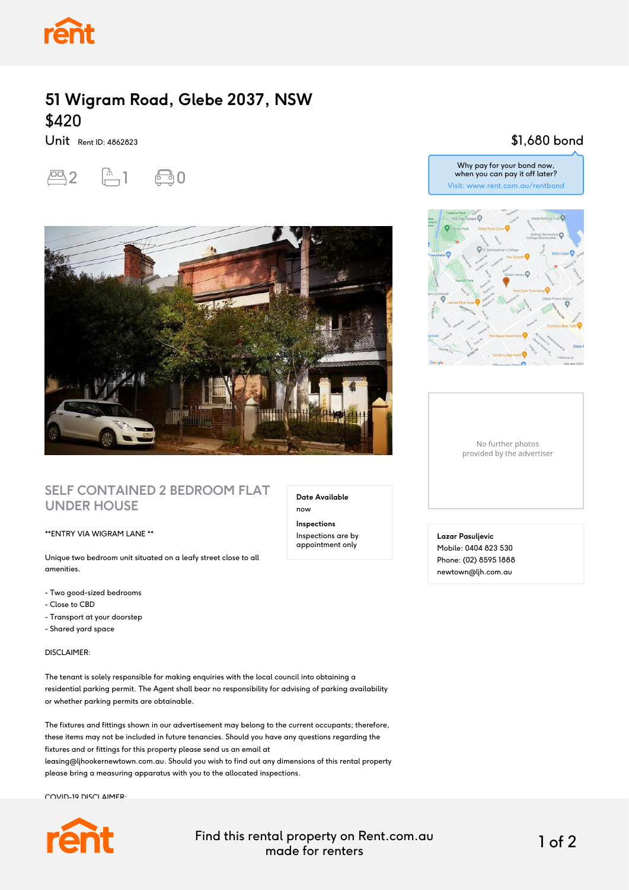

## **51 Wigram Road, Glebe 2037, NSW** \$420

Unit Rent ID: 4862823





### **SELF CONTAINED 2 BEDROOM FLAT UNDER HOUSE**

#### \*\*ENTRY VIA WIGRAM LANE \*\*

Unique two bedroom unit situated on a leafy street close to all amenities.

- Two good-sized bedrooms
- Close to CBD
- Transport at your doorstep
- Shared yard space

DISCLAIMER:

The tenant is solely responsible for making enquiries with the local council into obtaining a residential parking permit. The Agent shall bear no responsibility for advising of parking availability or whether parking permits are obtainable.

The fixtures and fittings shown in our advertisement may belong to the current occupants; therefore, these items may not be included in future tenancies. Should you have any questions regarding the fixtures and or fittings for this property please send us an email at leasing@ljhookernewtown.com.au. Should you wish to find out any dimensions of this rental property please bring a measuring apparatus with you to the allocated inspections.

COVID-19 DISCLAIMER:



Find this rental property on Rent.com.au made for renters 1 of 2

**Date Available**

now **Inspections** Inspections are by appointment only

## \$1,680 bond



Why pay for your bond now,

No further photos provided by the advertiser

**Lazar Pasuljevic** Mobile: 0404 823 530 Phone: (02) 8595 1888 newtown@ljh.com.au